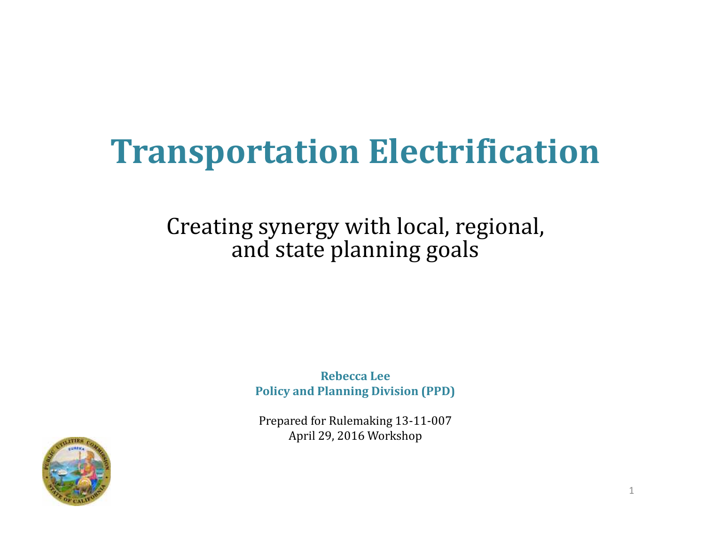# **Transportation Electrification**

### Creating synergy with local, regional, and state planning goals

**Rebecca Lee Policy and Planning Division (PPD)**

Prepared for Rulemaking 13-11-007 April 29, 2016 Workshop

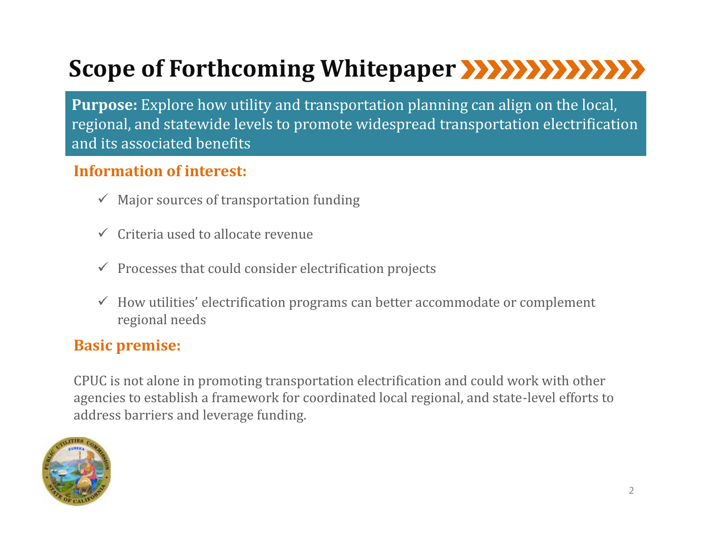## **Scope of Forthcoming Whitepaper**

**Purpose:** Explore how utility and transportation planning can align on the local, regional, and statewide levels to promote widespread transportation electrification and its associated benefits

#### **Information of interest:**

- $\checkmark$  Major sources of transportation funding
- $\checkmark$  Criteria used to allocate revenue
- $\checkmark$  Processes that could consider electrification projects
- $\checkmark$  How utilities' electrification programs can better accommodate or complement regional needs

#### **Basic premise:**

CPUC is not alone in promoting transportation electrification and could work with other agencies to establish a framework for coordinated local regional, and state-level efforts to address barriers and leverage funding.

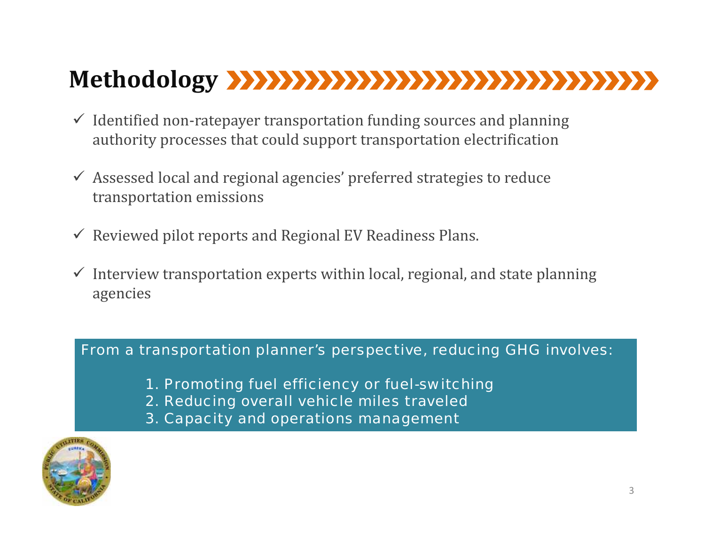## **Methodology**

- $\checkmark$  Identified non-ratepayer transportation funding sources and planning authority processes that could support transportation electrification
- $\checkmark$  Assessed local and regional agencies' preferred strategies to reduce transportation emissions
- $\checkmark$  Reviewed pilot reports and Regional EV Readiness Plans.
- $\checkmark$  Interview transportation experts within local, regional, and state planning agencies

#### From a transportation planner's perspective, reducing GHG involves:

- 1. Promoting fuel efficiency or fuel-switching
- 2. Reducing overall vehicle miles traveled
- 3. Capacity and operations management

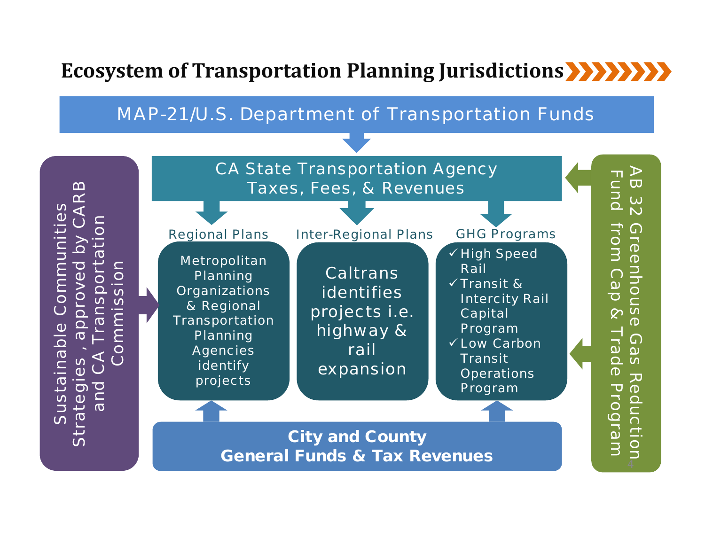### **Ecosystem of Transportation Planning Jurisdictions**

#### MAP-21/U.S. Department of Transportation Funds

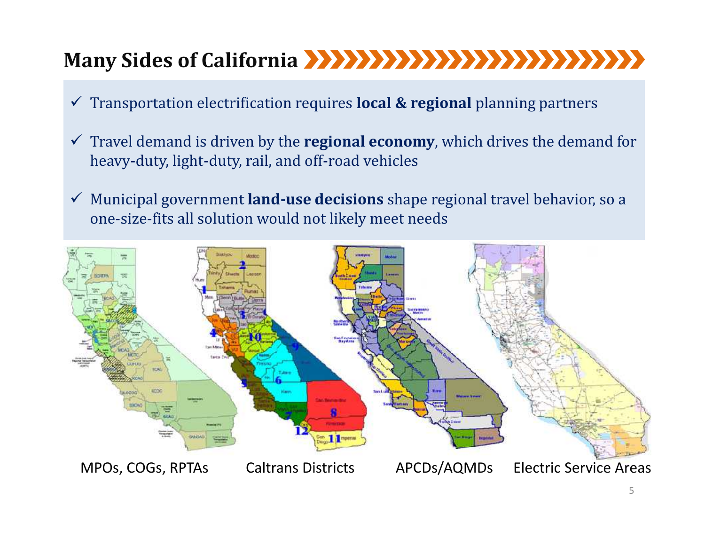## **Many Sides of California**

- Transportation electrification requires **local & regional** planning partners
- $\checkmark$  Travel demand is driven by the **regional economy**, which drives the demand for heavy-duty, light-duty, rail, and off-road vehicles
- Municipal government **land-use decisions** shape regional travel behavior, so a one-size-fits all solution would not likely meet needs

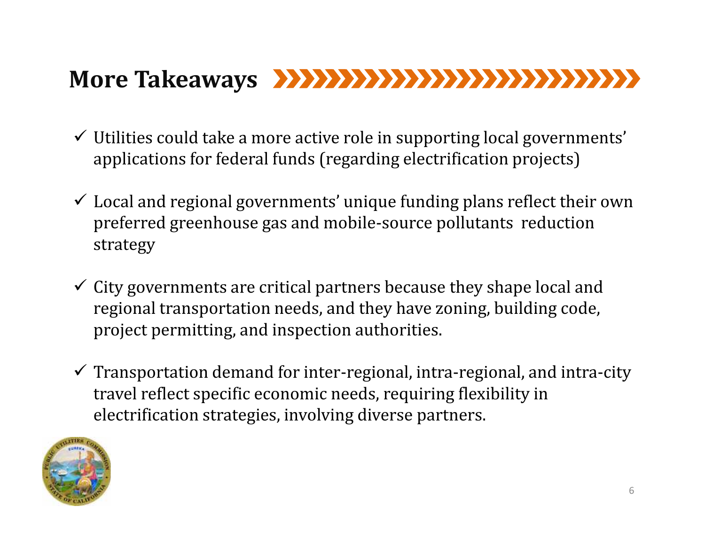## **More Takeaways**

- $\checkmark$  Utilities could take a more active role in supporting local governments' applications for federal funds (regarding electrification projects)
- $\checkmark$  Local and regional governments' unique funding plans reflect their own preferred greenhouse gas and mobile-source pollutants reduction strategy
- $\checkmark$  City governments are critical partners because they shape local and regional transportation needs, and they have zoning, building code, project permitting, and inspection authorities.
- $\checkmark$  Transportation demand for inter-regional, intra-regional, and intra-city travel reflect specific economic needs, requiring flexibility in electrification strategies, involving diverse partners.

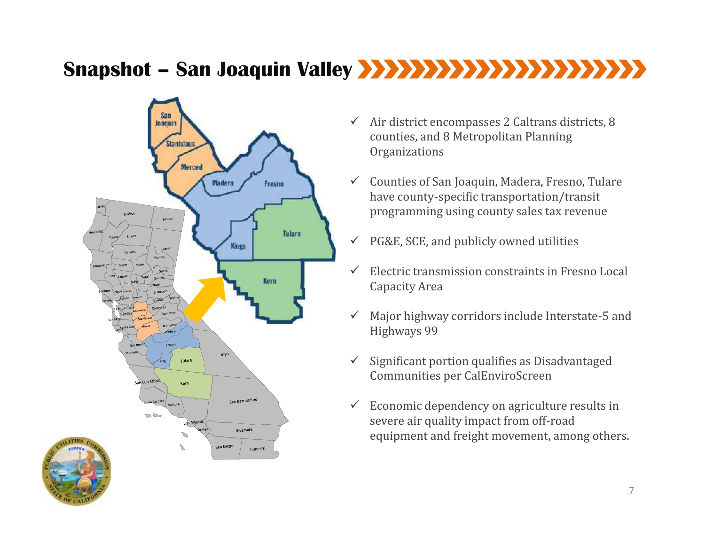### **Snapshot – San Joaquin Valley**



- $\checkmark$  Air district encompasses 2 Caltrans districts, 8 counties, and 8 Metropolitan Planning **Organizations**
- $\checkmark$  Counties of San Joaquin, Madera, Fresno, Tulare have county-specific transportation/transit programming using county sales tax revenue
- $\checkmark$  PG&E, SCE, and publicly owned utilities
- $\checkmark$  Electric transmission constraints in Fresno Local Capacity Area
- $\checkmark$  Major highway corridors include Interstate-5 and Highways 99
- $\checkmark$  Significant portion qualifies as Disadvantaged Communities per CalEnviroScreen
- $\checkmark$  Economic dependency on agriculture results in severe air quality impact from off-road equipment and freight movement, among others.